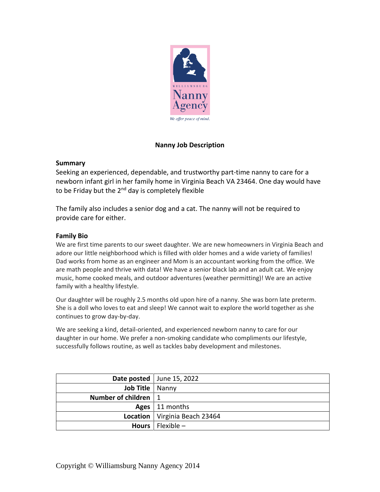

# **Nanny Job Description**

### **Summary**

Seeking an experienced, dependable, and trustworthy part-time nanny to care for a newborn infant girl in her family home in Virginia Beach VA 23464. One day would have to be Friday but the 2<sup>nd</sup> day is completely flexible

The family also includes a senior dog and a cat. The nanny will not be required to provide care for either.

#### **Family Bio**

We are first time parents to our sweet daughter. We are new homeowners in Virginia Beach and adore our little neighborhood which is filled with older homes and a wide variety of families! Dad works from home as an engineer and Mom is an accountant working from the office. We are math people and thrive with data! We have a senior black lab and an adult cat. We enjoy music, home cooked meals, and outdoor adventures (weather permitting)! We are an active family with a healthy lifestyle.

Our daughter will be roughly 2.5 months old upon hire of a nanny. She was born late preterm. She is a doll who loves to eat and sleep! We cannot wait to explore the world together as she continues to grow day-by-day.

We are seeking a kind, detail-oriented, and experienced newborn nanny to care for our daughter in our home. We prefer a non-smoking candidate who compliments our lifestyle, successfully follows routine, as well as tackles baby development and milestones.

|                        | Date posted   June 15, 2022     |
|------------------------|---------------------------------|
| Job Title   Nanny      |                                 |
| Number of children   1 |                                 |
|                        | Ages   11 months                |
|                        | Location   Virginia Beach 23464 |
|                        | <b>Hours</b>   Flexible $-$     |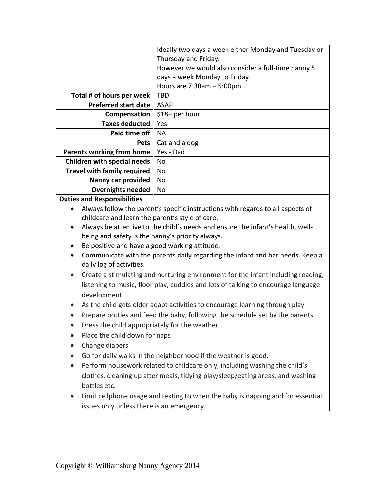|                                                                                               | Ideally two days a week either Monday and Tuesday or |
|-----------------------------------------------------------------------------------------------|------------------------------------------------------|
|                                                                                               | Thursday and Friday.                                 |
|                                                                                               | However we would also consider a full-time nanny 5   |
|                                                                                               | days a week Monday to Friday.                        |
|                                                                                               | Hours are 7:30am - 5:00pm                            |
| Total # of hours per week                                                                     | <b>TBD</b>                                           |
| <b>Preferred start date</b>                                                                   | <b>ASAP</b>                                          |
| Compensation                                                                                  | \$18+ per hour                                       |
| <b>Taxes deducted</b>                                                                         | Yes                                                  |
| Paid time off                                                                                 | <b>NA</b>                                            |
| <b>Pets</b>                                                                                   | Cat and a dog                                        |
| <b>Parents working from home</b>                                                              | Yes - Dad                                            |
| <b>Children with special needs</b>                                                            | No                                                   |
| <b>Travel with family required</b>                                                            | No                                                   |
| Nanny car provided                                                                            | No                                                   |
| <b>Overnights needed</b>                                                                      | No                                                   |
| <b>Duties and Responsibilities</b>                                                            |                                                      |
| Always follow the parent's specific instructions with regards to all aspects of<br>$\bullet$  |                                                      |
| childcare and learn the parent's style of care.                                               |                                                      |
| Always be attentive to the child's needs and ensure the infant's health, well-<br>$\bullet$   |                                                      |
| being and safety is the nanny's priority always.                                              |                                                      |
| Be positive and have a good working attitude.<br>٠                                            |                                                      |
| Communicate with the parents daily regarding the infant and her needs. Keep a<br>$\bullet$    |                                                      |
| daily log of activities.                                                                      |                                                      |
| Create a stimulating and nurturing environment for the infant including reading,<br>$\bullet$ |                                                      |
| listening to music, floor play, cuddles and lots of talking to encourage language             |                                                      |
| development.                                                                                  |                                                      |
| As the child gets older adapt activities to encourage learning through play                   |                                                      |
| Prepare bottles and feed the baby, following the schedule set by the parents                  |                                                      |
|                                                                                               |                                                      |
| Dress the child appropriately for the weather                                                 |                                                      |

- Place the child down for naps
- Change diapers
- Go for daily walks in the neighborhood if the weather is good.
- Perform housework related to childcare only, including washing the child's clothes, cleaning up after meals, tidying play/sleep/eating areas, and washing bottles etc.
- Limit cellphone usage and texting to when the baby is napping and for essential issues only unless there is an emergency.